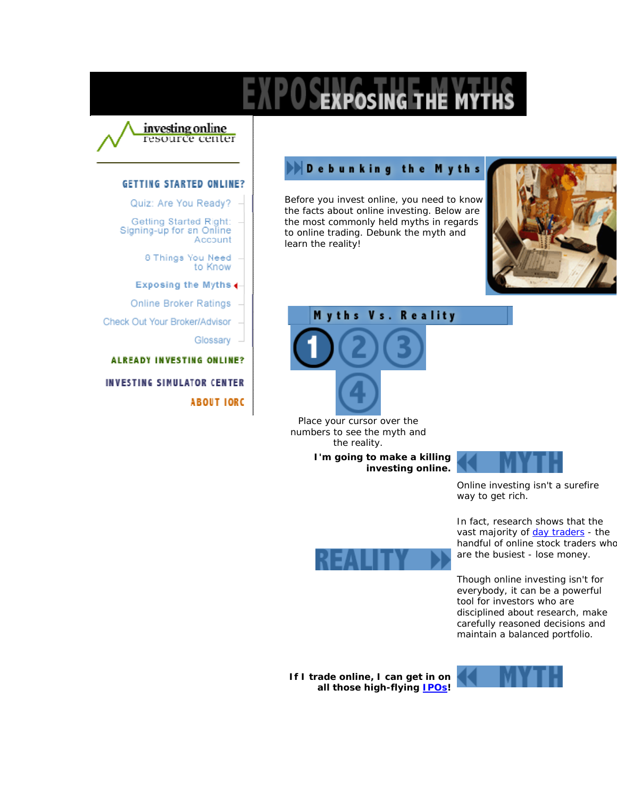

## **GETTING STARTED ONLINE?**

Quiz: Are You Ready?

Getting Started Right: Signing-up for an Online Account

> 8 Things You Need to Know

## Exposing the Myths 4-

**Online Broker Ratings** 

Check Out Your Broker/Advisor

Glossary

**ALREADY INVESTING ONLINE?** INVESTING SIMULATOR CENTER **ABOUT IORC** 

## **Debunking the Myths**

Before you invest online, you need to know the facts about online investing. Below are the most commonly held myths in regards to online trading. Debunk the myth and learn the reality!





Place your cursor over the numbers to see the myth and the reality.

> **I'm going to make a killing investing online.**



Online investing isn't a surefire way to get rich.

In fact, research shows that the vast majority of day traders - the handful of online stock traders who are the busiest - lose money.

Though online investing isn't for everybody, it can be a powerful tool for investors who are disciplined about research, make carefully reasoned decisions and maintain a balanced portfolio.





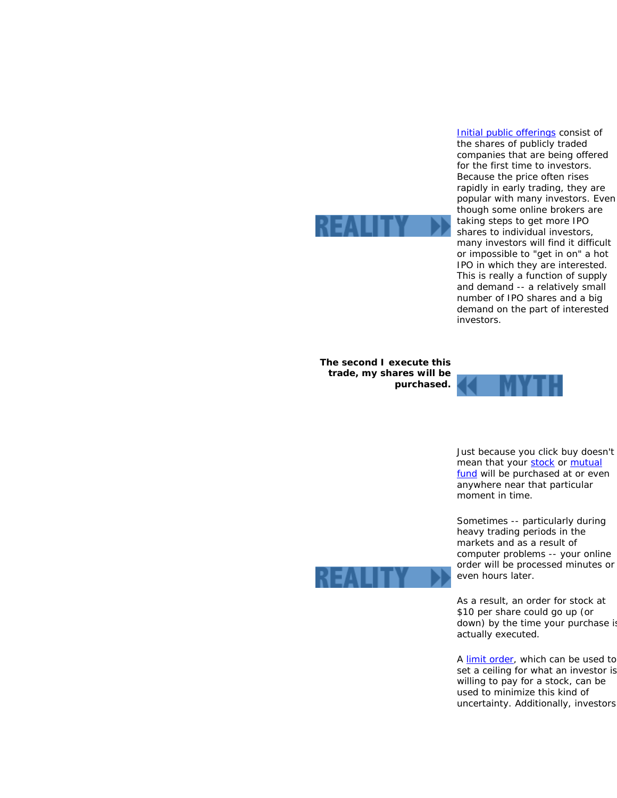

**The second I execute this trade, my shares will be purchased.**



investors.

Just because you click buy doesn't mean that your stock or mutual fund will be purchased at or even anywhere near that particular moment in time.

Initial public offerings consist of the shares of publicly traded companies that are being offered for the first time to investors. Because the price often rises rapidly in early trading, they are popular with many investors. Even though some online brokers are taking steps to get more IPO shares to individual investors, many investors will find it difficult or impossible to "get in on" a hot IPO in which they are interested. This is really a function of supply and demand -- a relatively small number of IPO shares and a big demand on the part of interested

Sometimes -- particularly during heavy trading periods in the markets and as a result of computer problems -- your online order will be processed minutes or even hours later.

As a result, an order for stock at \$10 per share could go up (or down) by the time your purchase is actually executed.

A limit order, which can be used to set a ceiling for what an investor is willing to pay for a stock, can be used to minimize this kind of uncertainty. Additionally, investors